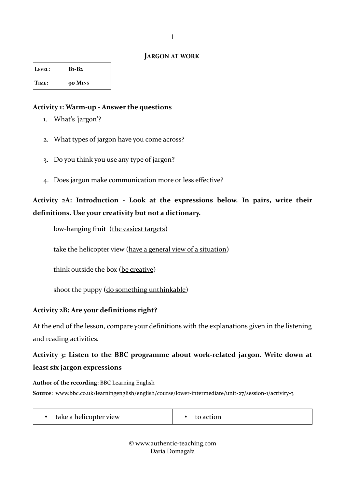### **JARGON AT WORK**

| LEVEL: | $B_1-B_2$ |
|--------|-----------|
| TIME:  | 90 MINS   |

### **Activity 1: Warm-up - Answer the questions**

- 1. What's 'jargon'?
- 2. What types of jargon have you come across?
- 3. Do you think you use any type of jargon?
- 4. Does jargon make communication more or less effective?

# **Activity 2A: Introduction - Look at the expressions below. In pairs, write their definitions. Use your creativity but not a dictionary.**

low-hanging fruit (the easiest targets)

take the helicopter view (have a general view of a situation)

think outside the box (be creative)

shoot the puppy (do something unthinkable)

# **Activity 2B: Are your definitions right?**

At the end of the lesson, compare your definitions with the explanations given in the listening and reading activities.

**Activity 3: Listen to the BBC programme about work-related jargon. Write down at least six jargon expressions**

**Author of the recording**: BBC Learning English **Source**: www.bbc.co.uk/learningenglish/english/course/lower-intermediate/unit-27/session-1/activity-3

| take a helicopter view<br>to action |  |
|-------------------------------------|--|
|-------------------------------------|--|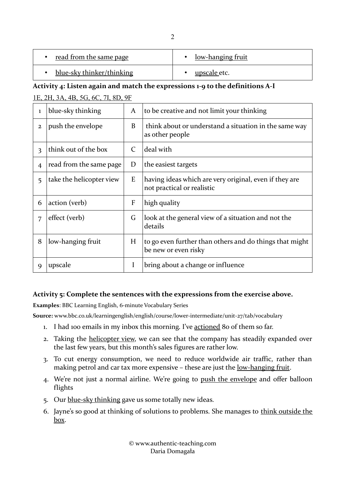| • read from the same page | <u>low-hanging fruit</u> |
|---------------------------|--------------------------|
| blue-sky thinker/thinking | <u>upscale</u> etc.      |

# **Activity 4: Listen again and match the expressions 1-9 to the definitions A-I**

## 1E, 2H, 3A, 4B, 5G, 6C, 7I, 8D, 9F

| $\mathbf{1}$   | blue-sky thinking        | A                           | to be creative and not limit your thinking                                           |
|----------------|--------------------------|-----------------------------|--------------------------------------------------------------------------------------|
| $\overline{2}$ | push the envelope        | B                           | think about or understand a situation in the same way<br>as other people             |
| 3              | think out of the box     | $\mathcal{C}_{\mathcal{C}}$ | deal with                                                                            |
| $\overline{4}$ | read from the same page  | D                           | the easiest targets                                                                  |
| 5              | take the helicopter view | E                           | having ideas which are very original, even if they are<br>not practical or realistic |
| 6              | action (verb)            | F                           | high quality                                                                         |
| 7              | effect (verb)            | G                           | look at the general view of a situation and not the<br>details                       |
| 8              | low-hanging fruit        | H                           | to go even further than others and do things that might<br>be new or even risky      |
| 9              | upscale                  | $\bf{l}$                    | bring about a change or influence                                                    |

# **Activity 5: Complete the sentences with the expressions from the exercise above.**

**Examples**: BBC Learning English, 6-minute Vocabulary Series

**Source:** www.bbc.co.uk/learningenglish/english/course/lower-intermediate/unit-27/tab/vocabulary

- 1. I had 100 emails in my inbox this morning. I've actioned 80 of them so far.
- 2. Taking the helicopter view, we can see that the company has steadily expanded over the last few years, but this month's sales figures are rather low.
- 3. To cut energy consumption, we need to reduce worldwide air traffic, rather than making petrol and car tax more expensive – these are just the <u>low-hanging fruit</u>.
- 4. We're not just a normal airline. We're going to push the envelope and offer balloon flights
- 5. Our blue-sky thinking gave us some totally new ideas.
- 6. Jayne's so good at thinking of solutions to problems. She manages to think outside the box.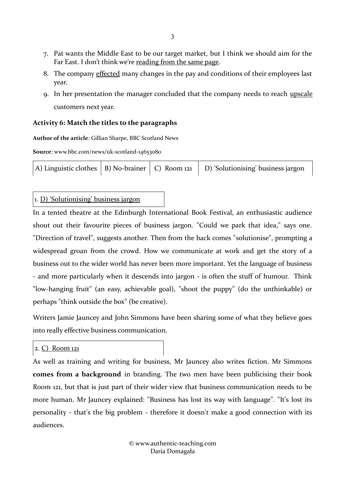- 7. Pat wants the Middle East to be our target market, but I think we should aim for the Far East. I don't think we're reading from the same page.
- 8. The company effected many changes in the pay and conditions of their employees last year.
- 9. In her presentation the manager concluded that the company needs to reach upscale customers next year.

### **Activity 6: Match the titles to the paragraphs**

**Author of the article**: Gillian Sharpe, BBC Scotland News

Source: www.bbc.com/news/uk-scotland-14653080

|  |  |  | A) Linguistic clothes   B) No-brainer   C) Room 121   D) 'Solutionising' business jargon |
|--|--|--|------------------------------------------------------------------------------------------|
|--|--|--|------------------------------------------------------------------------------------------|

# 1. D) 'Solutionising' business jargon

In a tented theatre at the Edinburgh International Book Festival, an enthusiastic audience shout out their favourite pieces of business jargon. "Could we park that idea," says one. "Direction of travel", suggests another. Then from the back comes "solutionise", prompting a widespread groan from the crowd. How we communicate at work and get the story of a business out to the wider world has never been more important. Yet the language of business - and more particularly when it descends into jargon - is often the stuff of humour. Think "low-hanging fruit" (an easy, achievable goal), "shoot the puppy" (do the unthinkable) or perhaps "think outside the box" (be creative).

Writers Jamie Jauncey and John Simmons have been sharing some of what they believe goes into really effective business communication.

# 2. C) Room 121

As well as training and writing for business, Mr Jauncey also writes fiction. Mr Simmons **comes from a background** in branding. The two men have been publicising their book Room 121, but that is just part of their wider view that business communication needs to be more human. Mr Jauncey explained: "Business has lost its way with language". "It's lost its personality - that's the big problem - therefore it doesn't make a good connection with its audiences.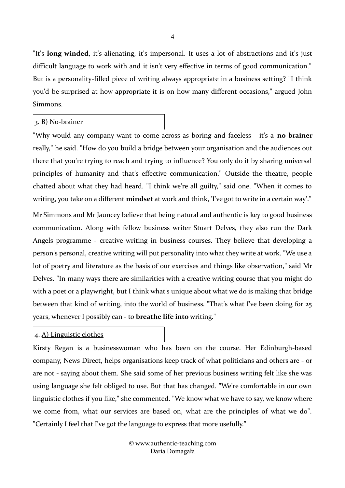"It's **long-winded**, it's alienating, it's impersonal. It uses a lot of abstractions and it's just difficult language to work with and it isn't very effective in terms of good communication." But is a personality-filled piece of writing always appropriate in a business setting? "I think you'd be surprised at how appropriate it is on how many different occasions," argued John Simmons.

#### 3. B) No-brainer

"Why would any company want to come across as boring and faceless - it's a **no-brainer** really," he said. "How do you build a bridge between your organisation and the audiences out there that you're trying to reach and trying to influence? You only do it by sharing universal principles of humanity and that's effective communication." Outside the theatre, people chatted about what they had heard. "I think we're all guilty," said one. "When it comes to writing, you take on a different **mindset** at work and think, 'I've got to write in a certain way'."

Mr Simmons and Mr Jauncey believe that being natural and authentic is key to good business communication. Along with fellow business writer Stuart Delves, they also run the Dark Angels programme - creative writing in business courses. They believe that developing a person's personal, creative writing will put personality into what they write at work. "We use a lot of poetry and literature as the basis of our exercises and things like observation," said Mr Delves. "In many ways there are similarities with a creative writing course that you might do with a poet or a playwright, but I think what's unique about what we do is making that bridge between that kind of writing, into the world of business. "That's what I've been doing for 25 years, whenever I possibly can - to **breathe life into** writing."

#### 4. A) Linguistic clothes

Kirsty Regan is a businesswoman who has been on the course. Her Edinburgh-based company, News Direct, helps organisations keep track of what politicians and others are - or are not - saying about them. She said some of her previous business writing felt like she was using language she felt obliged to use. But that has changed. "We're comfortable in our own linguistic clothes if you like," she commented. "We know what we have to say, we know where we come from, what our services are based on, what are the principles of what we do". "Certainly I feel that I've got the language to express that more usefully."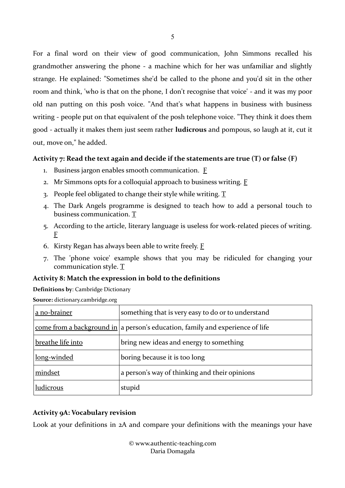For a final word on their view of good communication, John Simmons recalled his grandmother answering the phone - a machine which for her was unfamiliar and slightly strange. He explained: "Sometimes she'd be called to the phone and you'd sit in the other room and think, 'who is that on the phone, I don't recognise that voice' - and it was my poor old nan putting on this posh voice. "And that's what happens in business with business writing - people put on that equivalent of the posh telephone voice. "They think it does them good - actually it makes them just seem rather **ludicrous** and pompous, so laugh at it, cut it out, move on," he added.

### **Activity 7: Read the text again and decide if the statements are true (T) or false (F)**

- 1. Business jargon enables smooth communication. F
- 2. Mr Simmons opts for a colloquial approach to business writing. F
- 3. People feel obligated to change their style while writing. T
- 4. The Dark Angels programme is designed to teach how to add a personal touch to business communication. T
- 5. According to the article, literary language is useless for work-related pieces of writing. F
- 6. Kirsty Regan has always been able to write freely.  $\underline{F}$
- 7. The 'phone voice' example shows that you may be ridiculed for changing your communication style. T

#### **Activity 8: Match the expression in bold to the definitions**

**Definitions by**: Cambridge Dictionary

| a no-brainer      | something that is very easy to do or to understand                            |  |  |
|-------------------|-------------------------------------------------------------------------------|--|--|
|                   | come from a background in a person's education, family and experience of life |  |  |
| breathe life into | bring new ideas and energy to something                                       |  |  |
| long-winded       | boring because it is too long                                                 |  |  |
| mindset           | a person's way of thinking and their opinions                                 |  |  |
| ludicrous         | stupid                                                                        |  |  |

#### **Activity 9A: Vocabulary revision**

Look at your definitions in 2A and compare your definitions with the meanings your have